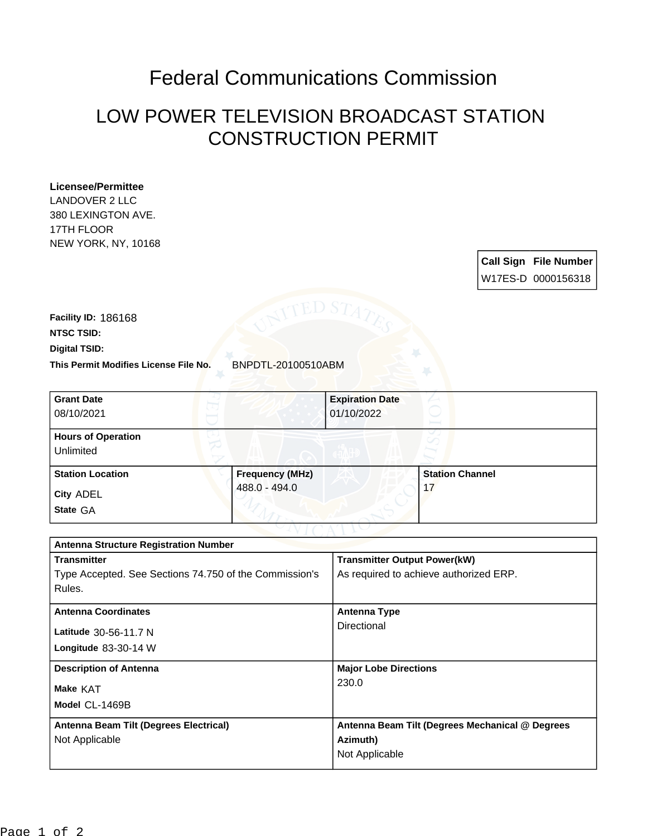## Federal Communications Commission

## LOW POWER TELEVISION BROADCAST STATION CONSTRUCTION PERMIT

## **Licensee/Permittee**

LANDOVER 2 LLC 380 LEXINGTON AVE. 17TH FLOOR NEW YORK, NY, 10168

> **Call Sign File Number** W17ES-D 0000156318

**This Permit Modifies License File No.** BNPDTL-20100510ABM **Digital TSID: NTSC TSID: Facility ID:** 186168

| <b>Grant Date</b><br>08/10/2021        |                        | <b>Expiration Date</b><br>01/10/2022 |                        |  |
|----------------------------------------|------------------------|--------------------------------------|------------------------|--|
| <b>Hours of Operation</b><br>Unlimited |                        |                                      |                        |  |
| <b>Station Location</b>                | <b>Frequency (MHz)</b> |                                      | <b>Station Channel</b> |  |
| City ADEL<br>State GA                  | 488.0 - 494.0          |                                      | 17                     |  |

| <b>Antenna Structure Registration Number</b>           |                                                 |  |  |
|--------------------------------------------------------|-------------------------------------------------|--|--|
| <b>Transmitter</b>                                     | <b>Transmitter Output Power(kW)</b>             |  |  |
| Type Accepted. See Sections 74.750 of the Commission's | As required to achieve authorized ERP.          |  |  |
| Rules.                                                 |                                                 |  |  |
| <b>Antenna Coordinates</b>                             | <b>Antenna Type</b>                             |  |  |
| Latitude 30-56-11.7 N                                  | Directional                                     |  |  |
| Longitude $83-30-14$ W                                 |                                                 |  |  |
| <b>Description of Antenna</b>                          | <b>Major Lobe Directions</b>                    |  |  |
| Make KAT                                               | 230.0                                           |  |  |
| Model CL-1469B                                         |                                                 |  |  |
| Antenna Beam Tilt (Degrees Electrical)                 | Antenna Beam Tilt (Degrees Mechanical @ Degrees |  |  |
| Not Applicable                                         | Azimuth)                                        |  |  |
|                                                        | Not Applicable                                  |  |  |